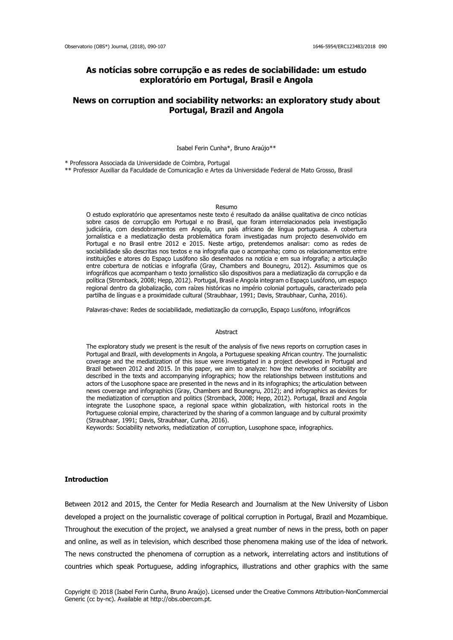## **As notícias sobre corrupção e as redes de sociabilidade: um estudo exploratório em Portugal, Brasil e Angola**

# **News on corruption and sociability networks: an exploratory study about Portugal, Brazil and Angola**

Isabel Ferin Cunha\*, Bruno Araújo\*\*

\* Professora Associada da Universidade de Coimbra, Portugal

\*\* Professor Auxiliar da Faculdade de Comunicação e Artes da Universidade Federal de Mato Grosso, Brasil

#### Resumo

O estudo exploratório que apresentamos neste texto é resultado da análise qualitativa de cinco notícias sobre casos de corrupção em Portugal e no Brasil, que foram interrelacionados pela investigação judiciária, com desdobramentos em Angola, um país africano de língua portuguesa. A cobertura jornalística e a mediatização desta problemática foram investigadas num projecto desenvolvido em Portugal e no Brasil entre 2012 e 2015. Neste artigo, pretendemos analisar: como as redes de sociabilidade são descritas nos textos e na infografia que o acompanha; como os relacionamentos entre instituições e atores do Espaço Lusófono são desenhados na notícia e em sua infografia; a articulação entre cobertura de notícias e infografia (Gray, Chambers and Bounegru, 2012). Assumimos que os infográficos que acompanham o texto jornalístico são dispositivos para a mediatização da corrupção e da política (Stromback, 2008; Hepp, 2012). Portugal, Brasil e Angola integram o Espaço Lusófono, um espaço regional dentro da globalização, com raízes históricas no império colonial português, caracterizado pela partilha de línguas e a proximidade cultural (Straubhaar, 1991; Davis, Straubhaar, Cunha, 2016).

Palavras-chave: Redes de sociabilidade, mediatização da corrupção, Espaço Lusófono, infográficos

#### Abstract

The exploratory study we present is the result of the analysis of five news reports on corruption cases in Portugal and Brazil, with developments in Angola, a Portuguese speaking African country. The journalistic coverage and the mediatization of this issue were investigated in a project developed in Portugal and Brazil between 2012 and 2015. In this paper, we aim to analyze: how the networks of sociability are described in the texts and accompanying infographics; how the relationships between institutions and actors of the Lusophone space are presented in the news and in its infographics; the articulation between news coverage and infographics (Gray, Chambers and Bounegru, 2012); and infographics as devices for the mediatization of corruption and politics (Stromback, 2008; Hepp, 2012). Portugal, Brazil and Angola integrate the Lusophone space, a regional space within globalization, with historical roots in the Portuguese colonial empire, characterized by the sharing of a common language and by cultural proximity (Straubhaar, 1991; Davis, Straubhaar, Cunha, 2016).

Keywords: Sociability networks, mediatization of corruption, Lusophone space, infographics.

## **Introduction**

Between 2012 and 2015, the Center for Media Research and Journalism at the New University of Lisbon developed a project on the journalistic coverage of political corruption in Portugal, Brazil and Mozambique. Throughout the execution of the project, we analysed a great number of news in the press, both on paper and online, as well as in television, which described those phenomena making use of the idea of network. The news constructed the phenomena of corruption as a network, interrelating actors and institutions of countries which speak Portuguese, adding infographics, illustrations and other graphics with the same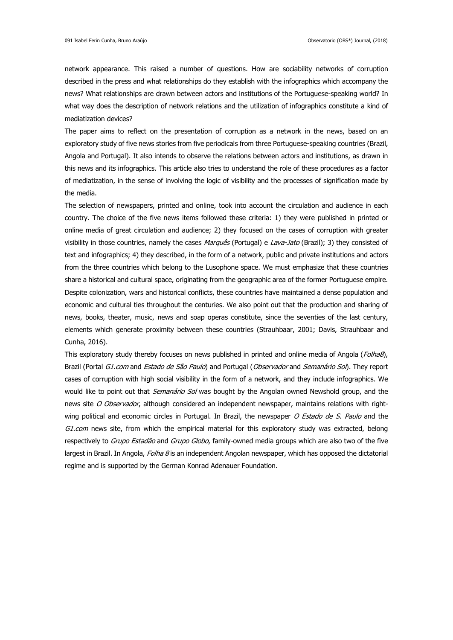network appearance. This raised a number of questions. How are sociability networks of corruption described in the press and what relationships do they establish with the infographics which accompany the news? What relationships are drawn between actors and institutions of the Portuguese-speaking world? In what way does the description of network relations and the utilization of infographics constitute a kind of mediatization devices?

The paper aims to reflect on the presentation of corruption as a network in the news, based on an exploratory study of five news stories from five periodicals from three Portuguese-speaking countries (Brazil, Angola and Portugal). It also intends to observe the relations between actors and institutions, as drawn in this news and its infographics. This article also tries to understand the role of these procedures as a factor of mediatization, in the sense of involving the logic of visibility and the processes of signification made by the media.

The selection of newspapers, printed and online, took into account the circulation and audience in each country. The choice of the five news items followed these criteria: 1) they were published in printed or online media of great circulation and audience; 2) they focused on the cases of corruption with greater visibility in those countries, namely the cases *Marquês* (Portugal) e *Lava-Jato* (Brazil); 3) they consisted of text and infographics; 4) they described, in the form of a network, public and private institutions and actors from the three countries which belong to the Lusophone space. We must emphasize that these countries share a historical and cultural space, originating from the geographic area of the former Portuguese empire. Despite colonization, wars and historical conflicts, these countries have maintained a dense population and economic and cultural ties throughout the centuries. We also point out that the production and sharing of news, books, theater, music, news and soap operas constitute, since the seventies of the last century, elements which generate proximity between these countries (Strauhbaar, 2001; Davis, Strauhbaar and Cunha, 2016).

This exploratory study thereby focuses on news published in printed and online media of Angola (Folha8), Brazil (Portal G1.com and Estado de São Paulo) and Portugal (Observador and Semanário Sol). They report cases of corruption with high social visibility in the form of a network, and they include infographics. We would like to point out that *Semanário Sol* was bought by the Angolan owned Newshold group, and the news site O Observador, although considered an independent newspaper, maintains relations with rightwing political and economic circles in Portugal. In Brazil, the newspaper O Estado de S. Paulo and the G1.com news site, from which the empirical material for this exploratory study was extracted, belong respectively to *Grupo Estadão* and *Grupo Globo*, family-owned media groups which are also two of the five largest in Brazil. In Angola, Folha 8 is an independent Angolan newspaper, which has opposed the dictatorial regime and is supported by the German Konrad Adenauer Foundation.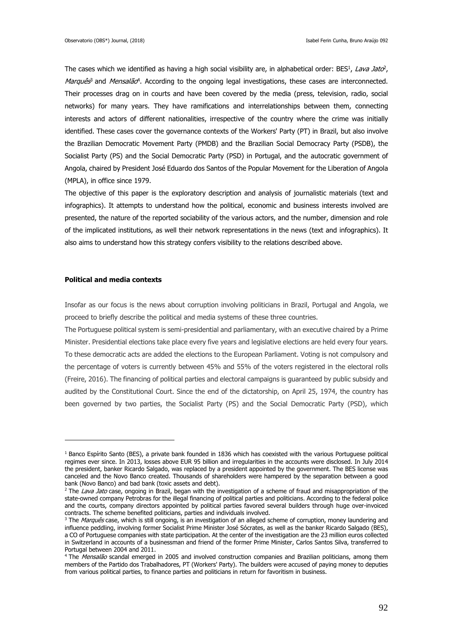The cases which we identified as having a high social visibility are, in alphabetical order: BES<sup>1</sup>, Lava Jato<sup>2</sup>, Marquês<sup>3</sup> and Mensalão<sup>4</sup>. According to the ongoing legal investigations, these cases are interconnected. Their processes drag on in courts and have been covered by the media (press, television, radio, social networks) for many years. They have ramifications and interrelationships between them, connecting interests and actors of different nationalities, irrespective of the country where the crime was initially identified. These cases cover the governance contexts of the Workers' Party (PT) in Brazil, but also involve the Brazilian Democratic Movement Party (PMDB) and the Brazilian Social Democracy Party (PSDB), the Socialist Party (PS) and the Social Democratic Party (PSD) in Portugal, and the autocratic government of Angola, chaired by President José Eduardo dos Santos of the Popular Movement for the Liberation of Angola (MPLA), in office since 1979.

The objective of this paper is the exploratory description and analysis of journalistic materials (text and infographics). It attempts to understand how the political, economic and business interests involved are presented, the nature of the reported sociability of the various actors, and the number, dimension and role of the implicated institutions, as well their network representations in the news (text and infographics). It also aims to understand how this strategy confers visibility to the relations described above.

### **Political and media contexts**

1

Insofar as our focus is the news about corruption involving politicians in Brazil, Portugal and Angola, we proceed to briefly describe the political and media systems of these three countries.

The Portuguese political system is semi-presidential and parliamentary, with an executive chaired by a Prime Minister. Presidential elections take place every five years and legislative elections are held every four years. To these democratic acts are added the elections to the European Parliament. Voting is not compulsory and the percentage of voters is currently between 45% and 55% of the voters registered in the electoral rolls (Freire, 2016). The financing of political parties and electoral campaigns is guaranteed by public subsidy and audited by the Constitutional Court. Since the end of the dictatorship, on April 25, 1974, the country has been governed by two parties, the Socialist Party (PS) and the Social Democratic Party (PSD), which

<sup>&</sup>lt;sup>1</sup> Banco Espírito Santo (BES), a private bank founded in 1836 which has coexisted with the various Portuguese political regimes ever since. In 2013, losses above EUR 95 billion and irregularities in the accounts were disclosed. In July 2014 the president, banker Ricardo Salgado, was replaced by a president appointed by the government. The BES license was canceled and the Novo Banco created. Thousands of shareholders were hampered by the separation between a good bank (Novo Banco) and bad bank (toxic assets and debt).

<sup>&</sup>lt;sup>2</sup> The Lava Jato case, ongoing in Brazil, began with the investigation of a scheme of fraud and misappropriation of the state-owned company Petrobras for the illegal financing of political parties and politicians. According to the federal police and the courts, company directors appointed by political parties favored several builders through huge over-invoiced contracts. The scheme benefited politicians, parties and individuals involved.

<sup>&</sup>lt;sup>3</sup> The Marquês case, which is still ongoing, is an investigation of an alleged scheme of corruption, money laundering and influence peddling, involving former Socialist Prime Minister José Sócrates, as well as the banker Ricardo Salgado (BES), a CO of Portuguese companies with state participation. At the center of the investigation are the 23 million euros collected in Switzerland in accounts of a businessman and friend of the former Prime Minister, Carlos Santos Silva, transferred to Portugal between 2004 and 2011.

<sup>&</sup>lt;sup>4</sup> The Mensalão scandal emerged in 2005 and involved construction companies and Brazilian politicians, among them members of the Partido dos Trabalhadores, PT (Workers' Party). The builders were accused of paying money to deputies from various political parties, to finance parties and politicians in return for favoritism in business.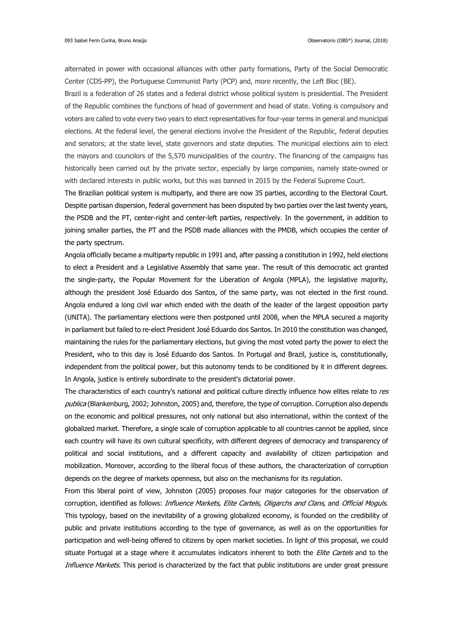alternated in power with occasional alliances with other party formations, Party of the Social Democratic Center (CDS-PP), the Portuguese Communist Party (PCP) and, more recently, the Left Bloc (BE).

Brazil is a federation of 26 states and a federal district whose political system is presidential. The President of the Republic combines the functions of head of government and head of state. Voting is compulsory and voters are called to vote every two years to elect representatives for four-year terms in general and municipal elections. At the federal level, the general elections involve the President of the Republic, federal deputies and senators; at the state level, state governors and state deputies. The municipal elections aim to elect the mayors and councilors of the 5,570 municipalities of the country. The financing of the campaigns has historically been carried out by the private sector, especially by large companies, namely state-owned or with declared interests in public works, but this was banned in 2015 by the Federal Supreme Court.

The Brazilian political system is multiparty, and there are now 35 parties, according to the Electoral Court. Despite partisan dispersion, federal government has been disputed by two parties over the last twenty years, the PSDB and the PT, center-right and center-left parties, respectively. In the government, in addition to joining smaller parties, the PT and the PSDB made alliances with the PMDB, which occupies the center of the party spectrum.

Angola officially became a multiparty republic in 1991 and, after passing a constitution in 1992, held elections to elect a President and a Legislative Assembly that same year. The result of this democratic act granted the single-party, the Popular Movement for the Liberation of Angola (MPLA), the legislative majority, although the president José Eduardo dos Santos, of the same party, was not elected in the first round. Angola endured a long civil war which ended with the death of the leader of the largest opposition party (UNITA). The parliamentary elections were then postponed until 2008, when the MPLA secured a majority in parliament but failed to re-elect President José Eduardo dos Santos. In 2010 the constitution was changed, maintaining the rules for the parliamentary elections, but giving the most voted party the power to elect the President, who to this day is José Eduardo dos Santos. In Portugal and Brazil, justice is, constitutionally, independent from the political power, but this autonomy tends to be conditioned by it in different degrees. In Angola, justice is entirely subordinate to the president's dictatorial power.

The characteristics of each country's national and political culture directly influence how elites relate to res publica (Blankenburg, 2002; Johnston, 2005) and, therefore, the type of corruption. Corruption also depends on the economic and political pressures, not only national but also international, within the context of the globalized market. Therefore, a single scale of corruption applicable to all countries cannot be applied, since each country will have its own cultural specificity, with different degrees of democracy and transparency of political and social institutions, and a different capacity and availability of citizen participation and mobilization. Moreover, according to the liberal focus of these authors, the characterization of corruption depends on the degree of markets openness, but also on the mechanisms for its regulation.

From this liberal point of view, Johnston (2005) proposes four major categories for the observation of corruption, identified as follows: *Influence Markets, Elite Cartels, Oligarchs and Clans*, and *Official Moguls*. This typology, based on the inevitability of a growing globalized economy, is founded on the credibility of public and private institutions according to the type of governance, as well as on the opportunities for participation and well-being offered to citizens by open market societies. In light of this proposal, we could situate Portugal at a stage where it accumulates indicators inherent to both the Elite Cartels and to the Influence Markets. This period is characterized by the fact that public institutions are under great pressure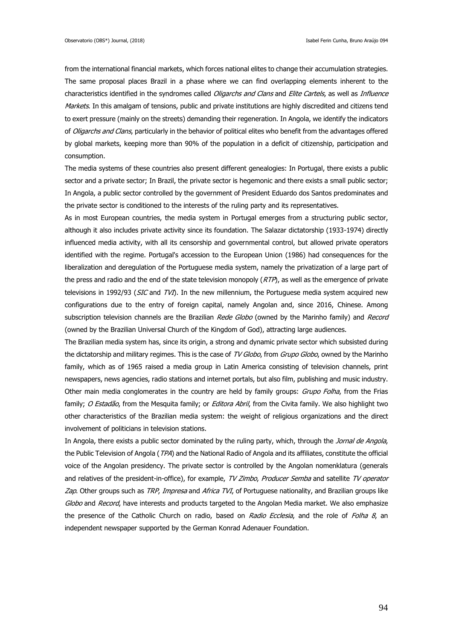from the international financial markets, which forces national elites to change their accumulation strategies. The same proposal places Brazil in a phase where we can find overlapping elements inherent to the characteristics identified in the syndromes called *Oligarchs and Clans* and *Elite Cartels*, as well as *Influence* Markets. In this amalgam of tensions, public and private institutions are highly discredited and citizens tend to exert pressure (mainly on the streets) demanding their regeneration. In Angola, we identify the indicators of Oligarchs and Clans, particularly in the behavior of political elites who benefit from the advantages offered by global markets, keeping more than 90% of the population in a deficit of citizenship, participation and consumption.

The media systems of these countries also present different genealogies: In Portugal, there exists a public sector and a private sector; In Brazil, the private sector is hegemonic and there exists a small public sector; In Angola, a public sector controlled by the government of President Eduardo dos Santos predominates and the private sector is conditioned to the interests of the ruling party and its representatives.

As in most European countries, the media system in Portugal emerges from a structuring public sector, although it also includes private activity since its foundation. The Salazar dictatorship (1933-1974) directly influenced media activity, with all its censorship and governmental control, but allowed private operators identified with the regime. Portugal's accession to the European Union (1986) had consequences for the liberalization and deregulation of the Portuguese media system, namely the privatization of a large part of the press and radio and the end of the state television monopoly  $(RTP)$ , as well as the emergence of private televisions in 1992/93 (*SIC* and *TVI*). In the new millennium, the Portuguese media system acquired new configurations due to the entry of foreign capital, namely Angolan and, since 2016, Chinese. Among subscription television channels are the Brazilian Rede Globo (owned by the Marinho family) and Record (owned by the Brazilian Universal Church of the Kingdom of God), attracting large audiences.

The Brazilian media system has, since its origin, a strong and dynamic private sector which subsisted during the dictatorship and military regimes. This is the case of TV Globo, from Grupo Globo, owned by the Marinho family, which as of 1965 raised a media group in Latin America consisting of television channels, print newspapers, news agencies, radio stations and internet portals, but also film, publishing and music industry. Other main media conglomerates in the country are held by family groups: *Grupo Folha*, from the Frias family; O Estadão, from the Mesquita family; or Editora Abril, from the Civita family. We also highlight two other characteristics of the Brazilian media system: the weight of religious organizations and the direct involvement of politicians in television stations.

In Angola, there exists a public sector dominated by the ruling party, which, through the Jornal de Angola, the Public Television of Angola (TPA) and the National Radio of Angola and its affiliates, constitute the official voice of the Angolan presidency. The private sector is controlled by the Angolan nomenklatura (generals and relatives of the president-in-office), for example, TV Zimbo, Producer Semba and satellite TV operator Zap. Other groups such as TRP, Impresa and Africa TVI, of Portuguese nationality, and Brazilian groups like Globo and Record, have interests and products targeted to the Angolan Media market. We also emphasize the presence of the Catholic Church on radio, based on Radio Ecclesia, and the role of Folha 8, an independent newspaper supported by the German Konrad Adenauer Foundation.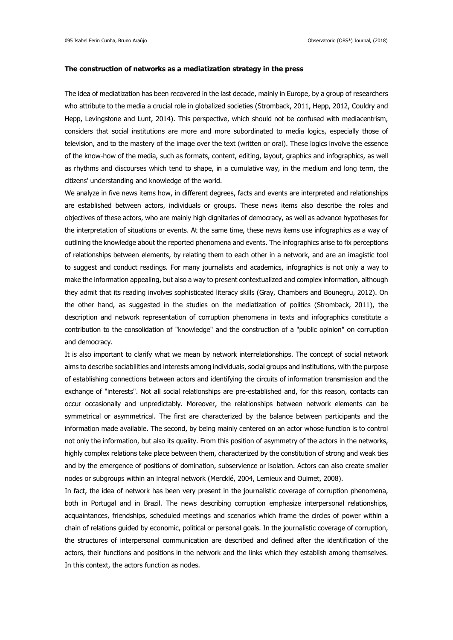### **The construction of networks as a mediatization strategy in the press**

The idea of mediatization has been recovered in the last decade, mainly in Europe, by a group of researchers who attribute to the media a crucial role in globalized societies (Stromback, 2011, Hepp, 2012, Couldry and Hepp, Levingstone and Lunt, 2014). This perspective, which should not be confused with mediacentrism, considers that social institutions are more and more subordinated to media logics, especially those of television, and to the mastery of the image over the text (written or oral). These logics involve the essence of the know-how of the media, such as formats, content, editing, layout, graphics and infographics, as well as rhythms and discourses which tend to shape, in a cumulative way, in the medium and long term, the citizens' understanding and knowledge of the world.

We analyze in five news items how, in different degrees, facts and events are interpreted and relationships are established between actors, individuals or groups. These news items also describe the roles and objectives of these actors, who are mainly high dignitaries of democracy, as well as advance hypotheses for the interpretation of situations or events. At the same time, these news items use infographics as a way of outlining the knowledge about the reported phenomena and events. The infographics arise to fix perceptions of relationships between elements, by relating them to each other in a network, and are an imagistic tool to suggest and conduct readings. For many journalists and academics, infographics is not only a way to make the information appealing, but also a way to present contextualized and complex information, although they admit that its reading involves sophisticated literacy skills (Gray, Chambers and Bounegru, 2012). On the other hand, as suggested in the studies on the mediatization of politics (Stromback, 2011), the description and network representation of corruption phenomena in texts and infographics constitute a contribution to the consolidation of "knowledge" and the construction of a "public opinion" on corruption and democracy.

It is also important to clarify what we mean by network interrelationships. The concept of social network aims to describe sociabilities and interests among individuals, social groups and institutions, with the purpose of establishing connections between actors and identifying the circuits of information transmission and the exchange of "interests". Not all social relationships are pre-established and, for this reason, contacts can occur occasionally and unpredictably. Moreover, the relationships between network elements can be symmetrical or asymmetrical. The first are characterized by the balance between participants and the information made available. The second, by being mainly centered on an actor whose function is to control not only the information, but also its quality. From this position of asymmetry of the actors in the networks, highly complex relations take place between them, characterized by the constitution of strong and weak ties and by the emergence of positions of domination, subservience or isolation. Actors can also create smaller nodes or subgroups within an integral network (Mercklé, 2004, Lemieux and Ouimet, 2008).

In fact, the idea of network has been very present in the journalistic coverage of corruption phenomena, both in Portugal and in Brazil. The news describing corruption emphasize interpersonal relationships, acquaintances, friendships, scheduled meetings and scenarios which frame the circles of power within a chain of relations guided by economic, political or personal goals. In the journalistic coverage of corruption, the structures of interpersonal communication are described and defined after the identification of the actors, their functions and positions in the network and the links which they establish among themselves. In this context, the actors function as nodes.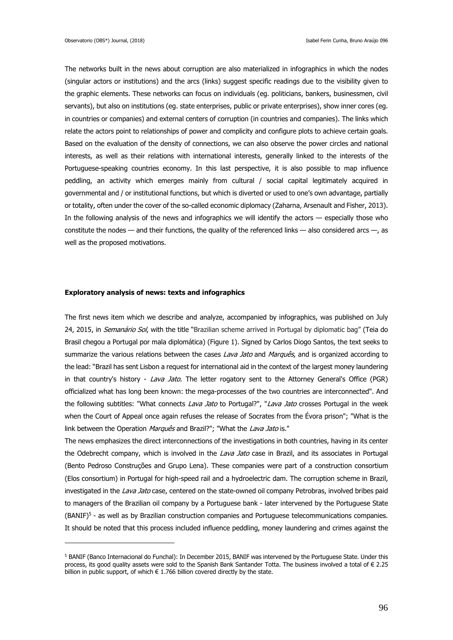The networks built in the news about corruption are also materialized in infographics in which the nodes (singular actors or institutions) and the arcs (links) suggest specific readings due to the visibility given to the graphic elements. These networks can focus on individuals (eg. politicians, bankers, businessmen, civil servants), but also on institutions (eg. state enterprises, public or private enterprises), show inner cores (eg. in countries or companies) and external centers of corruption (in countries and companies). The links which relate the actors point to relationships of power and complicity and configure plots to achieve certain goals. Based on the evaluation of the density of connections, we can also observe the power circles and national interests, as well as their relations with international interests, generally linked to the interests of the Portuguese-speaking countries economy. In this last perspective, it is also possible to map influence peddling, an activity which emerges mainly from cultural / social capital legitimately acquired in governmental and / or institutional functions, but which is diverted or used to one's own advantage, partially or totality, often under the cover of the so-called economic diplomacy (Zaharna, Arsenault and Fisher, 2013). In the following analysis of the news and infographics we will identify the actors — especially those who constitute the nodes — and their functions, the quality of the referenced links — also considered arcs —, as well as the proposed motivations.

## **Exploratory analysis of news: texts and infographics**

1

The first news item which we describe and analyze, accompanied by infographics, was published on July 24, 2015, in *Semanário Sol*, with the title "Brazilian scheme arrived in Portugal by diplomatic bag" (Teia do Brasil chegou a Portugal por mala diplomática) (Figure 1). Signed by Carlos Diogo Santos, the text seeks to summarize the various relations between the cases Lava Jato and Marquês, and is organized according to the lead: "Brazil has sent Lisbon a request for international aid in the context of the largest money laundering in that country's history - Lava Jato. The letter rogatory sent to the Attorney General's Office (PGR) officialized what has long been known: the mega-processes of the two countries are interconnected". And the following subtitles: "What connects Lava Jato to Portugal?", "Lava Jato crosses Portugal in the week when the Court of Appeal once again refuses the release of Socrates from the Évora prison"; "What is the link between the Operation *Marquês* and Brazil?"; "What the Lava Jato is."

The news emphasizes the direct interconnections of the investigations in both countries, having in its center the Odebrecht company, which is involved in the Lava Jato case in Brazil, and its associates in Portugal (Bento Pedroso Construções and Grupo Lena). These companies were part of a construction consortium (Elos consortium) in Portugal for high-speed rail and a hydroelectric dam. The corruption scheme in Brazil, investigated in the Lava Jato case, centered on the state-owned oil company Petrobras, involved bribes paid to managers of the Brazilian oil company by a Portuguese bank - later intervened by the Portuguese State (BANIF)<sup>5</sup> - as well as by Brazilian construction companies and Portuguese telecommunications companies. It should be noted that this process included influence peddling, money laundering and crimes against the

<sup>5</sup> BANIF (Banco Internacional do Funchal): In December 2015, BANIF was intervened by the Portuguese State. Under this process, its good quality assets were sold to the Spanish Bank Santander Totta. The business involved a total of € 2.25 billion in public support, of which  $\epsilon$  1.766 billion covered directly by the state.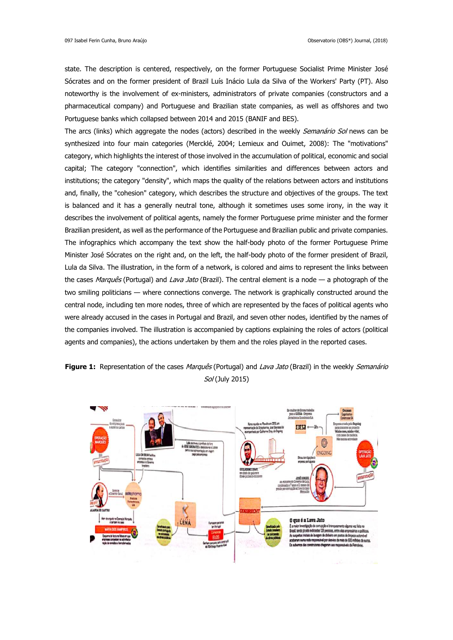state. The description is centered, respectively, on the former Portuguese Socialist Prime Minister José Sócrates and on the former president of Brazil Luís Inácio Lula da Silva of the Workers' Party (PT). Also noteworthy is the involvement of ex-ministers, administrators of private companies (constructors and a pharmaceutical company) and Portuguese and Brazilian state companies, as well as offshores and two Portuguese banks which collapsed between 2014 and 2015 (BANIF and BES).

The arcs (links) which aggregate the nodes (actors) described in the weekly *Semanário Sol* news can be synthesized into four main categories (Mercklé, 2004; Lemieux and Ouimet, 2008): The "motivations" category, which highlights the interest of those involved in the accumulation of political, economic and social capital; The category "connection", which identifies similarities and differences between actors and institutions; the category "density", which maps the quality of the relations between actors and institutions and, finally, the "cohesion" category, which describes the structure and objectives of the groups. The text is balanced and it has a generally neutral tone, although it sometimes uses some irony, in the way it describes the involvement of political agents, namely the former Portuguese prime minister and the former Brazilian president, as well as the performance of the Portuguese and Brazilian public and private companies. The infographics which accompany the text show the half-body photo of the former Portuguese Prime Minister José Sócrates on the right and, on the left, the half-body photo of the former president of Brazil, Lula da Silva. The illustration, in the form of a network, is colored and aims to represent the links between the cases Marquês (Portugal) and Lava Jato (Brazil). The central element is a node — a photograph of the two smiling politicians — where connections converge. The network is graphically constructed around the central node, including ten more nodes, three of which are represented by the faces of political agents who were already accused in the cases in Portugal and Brazil, and seven other nodes, identified by the names of the companies involved. The illustration is accompanied by captions explaining the roles of actors (political agents and companies), the actions undertaken by them and the roles played in the reported cases.



# **Figure 1:** Representation of the cases *Marquês* (Portugal) and *Lava Jato* (Brazil) in the weekly *Semanário* Sol (July 2015)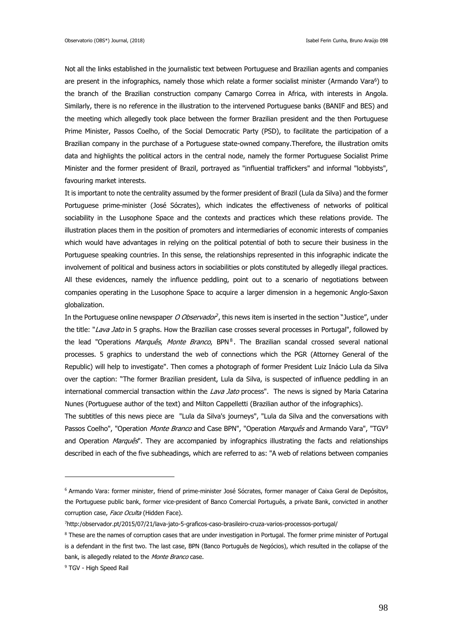Not all the links established in the journalistic text between Portuguese and Brazilian agents and companies are present in the infographics, namely those which relate a former socialist minister (Armando Vara<sup>6</sup>) to the branch of the Brazilian construction company Camargo Correa in Africa, with interests in Angola. Similarly, there is no reference in the illustration to the intervened Portuguese banks (BANIF and BES) and the meeting which allegedly took place between the former Brazilian president and the then Portuguese Prime Minister, Passos Coelho, of the Social Democratic Party (PSD), to facilitate the participation of a Brazilian company in the purchase of a Portuguese state-owned company.Therefore, the illustration omits data and highlights the political actors in the central node, namely the former Portuguese Socialist Prime Minister and the former president of Brazil, portrayed as "influential traffickers" and informal "lobbyists", favouring market interests.

It is important to note the centrality assumed by the former president of Brazil (Lula da Silva) and the former Portuguese prime-minister (José Sócrates), which indicates the effectiveness of networks of political sociability in the Lusophone Space and the contexts and practices which these relations provide. The illustration places them in the position of promoters and intermediaries of economic interests of companies which would have advantages in relying on the political potential of both to secure their business in the Portuguese speaking countries. In this sense, the relationships represented in this infographic indicate the involvement of political and business actors in sociabilities or plots constituted by allegedly illegal practices. All these evidences, namely the influence peddling, point out to a scenario of negotiations between companies operating in the Lusophone Space to acquire a larger dimension in a hegemonic Anglo-Saxon globalization.

In the Portuguese online newspaper *O Observador*<sup>7</sup>, this news item is inserted in the section "Justice", under the title: "Lava Jato in 5 graphs. How the Brazilian case crosses several processes in Portugal", followed by the lead "Operations *Marquês, Monte Branco*, BPN<sup>8</sup>. The Brazilian scandal crossed several national processes. 5 graphics to understand the web of connections which the PGR (Attorney General of the Republic) will help to investigate". Then comes a photograph of former President Luiz Inácio Lula da Silva over the caption: "The former Brazilian president, Lula da Silva, is suspected of influence peddling in an international commercial transaction within the Lava Jato process". The news is signed by Maria Catarina Nunes (Portuguese author of the text) and Milton Cappelletti (Brazilian author of the infographics).

The subtitles of this news piece are "Lula da Silva's journeys", "Lula da Silva and the conversations with Passos Coelho", "Operation *Monte Branco* and Case BPN", "Operation Marquês and Armando Vara", "TGV<sup>9</sup> and Operation *Marquês*". They are accompanied by infographics illustrating the facts and relationships described in each of the five subheadings, which are referred to as: "A web of relations between companies

1

<sup>6</sup> Armando Vara: former minister, friend of prime-minister José Sócrates, former manager of Caixa Geral de Depósitos, the Portuguese public bank, former vice-president of Banco Comercial Português, a private Bank, convicted in another corruption case, Face Oculta (Hidden Face).

<sup>7</sup>http:/observador.pt/2015/07/21/lava-jato-5-graficos-caso-brasileiro-cruza-varios-processos-portugal/

<sup>&</sup>lt;sup>8</sup> These are the names of corruption cases that are under investigation in Portugal. The former prime minister of Portugal is a defendant in the first two. The last case, BPN (Banco Português de Negócios), which resulted in the collapse of the bank, is allegedly related to the Monte Branco case.

<sup>9</sup> TGV - High Speed Rail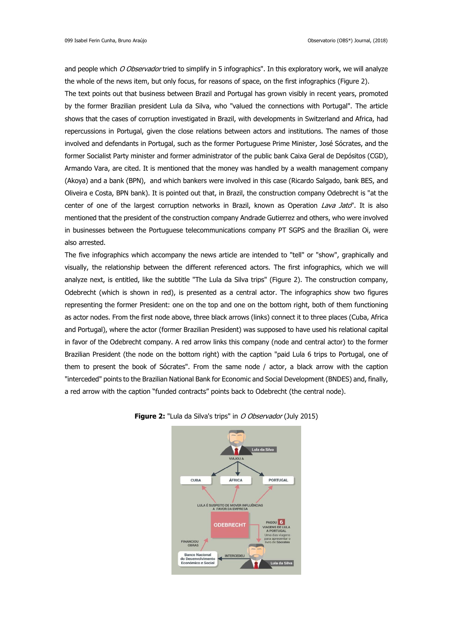and people which O Observador tried to simplify in 5 infographics". In this exploratory work, we will analyze the whole of the news item, but only focus, for reasons of space, on the first infographics (Figure 2).

The text points out that business between Brazil and Portugal has grown visibly in recent years, promoted by the former Brazilian president Lula da Silva, who "valued the connections with Portugal". The article shows that the cases of corruption investigated in Brazil, with developments in Switzerland and Africa, had repercussions in Portugal, given the close relations between actors and institutions. The names of those involved and defendants in Portugal, such as the former Portuguese Prime Minister, José Sócrates, and the former Socialist Party minister and former administrator of the public bank Caixa Geral de Depósitos (CGD), Armando Vara, are cited. It is mentioned that the money was handled by a wealth management company (Akoya) and a bank (BPN), and which bankers were involved in this case (Ricardo Salgado, bank BES, and Oliveira e Costa, BPN bank). It is pointed out that, in Brazil, the construction company Odebrecht is "at the center of one of the largest corruption networks in Brazil, known as Operation Lava Jato". It is also mentioned that the president of the construction company Andrade Gutierrez and others, who were involved in businesses between the Portuguese telecommunications company PT SGPS and the Brazilian Oi, were also arrested.

The five infographics which accompany the news article are intended to "tell" or "show", graphically and visually, the relationship between the different referenced actors. The first infographics, which we will analyze next, is entitled, like the subtitle "The Lula da Silva trips" (Figure 2). The construction company, Odebrecht (which is shown in red), is presented as a central actor. The infographics show two figures representing the former President: one on the top and one on the bottom right, both of them functioning as actor nodes. From the first node above, three black arrows (links) connect it to three places (Cuba, Africa and Portugal), where the actor (former Brazilian President) was supposed to have used his relational capital in favor of the Odebrecht company. A red arrow links this company (node and central actor) to the former Brazilian President (the node on the bottom right) with the caption "paid Lula 6 trips to Portugal, one of them to present the book of Sócrates". From the same node / actor, a black arrow with the caption "interceded" points to the Brazilian National Bank for Economic and Social Development (BNDES) and, finally, a red arrow with the caption "funded contracts" points back to Odebrecht (the central node).



## **Figure 2:** "Lula da Silva's trips" in *O Observador* (July 2015)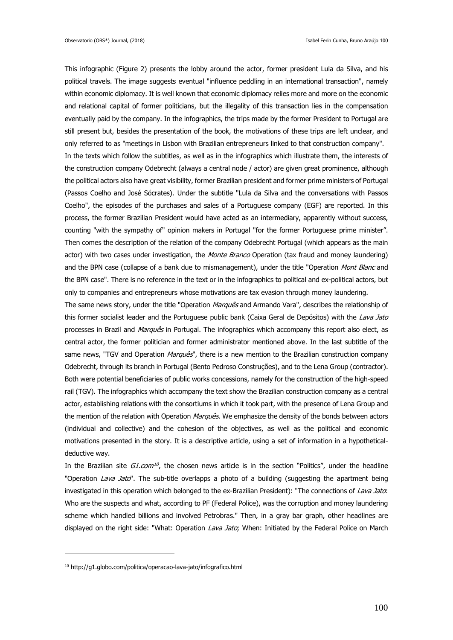This infographic (Figure 2) presents the lobby around the actor, former president Lula da Silva, and his political travels. The image suggests eventual "influence peddling in an international transaction", namely within economic diplomacy. It is well known that economic diplomacy relies more and more on the economic and relational capital of former politicians, but the illegality of this transaction lies in the compensation eventually paid by the company. In the infographics, the trips made by the former President to Portugal are still present but, besides the presentation of the book, the motivations of these trips are left unclear, and only referred to as "meetings in Lisbon with Brazilian entrepreneurs linked to that construction company". In the texts which follow the subtitles, as well as in the infographics which illustrate them, the interests of the construction company Odebrecht (always a central node / actor) are given great prominence, although the political actors also have great visibility, former Brazilian president and former prime ministers of Portugal (Passos Coelho and José Sócrates). Under the subtitle "Lula da Silva and the conversations with Passos Coelho", the episodes of the purchases and sales of a Portuguese company (EGF) are reported. In this process, the former Brazilian President would have acted as an intermediary, apparently without success, counting "with the sympathy of" opinion makers in Portugal "for the former Portuguese prime minister". Then comes the description of the relation of the company Odebrecht Portugal (which appears as the main actor) with two cases under investigation, the Monte Branco Operation (tax fraud and money laundering) and the BPN case (collapse of a bank due to mismanagement), under the title "Operation Mont Blanc and the BPN case". There is no reference in the text or in the infographics to political and ex-political actors, but only to companies and entrepreneurs whose motivations are tax evasion through money laundering.

The same news story, under the title "Operation Marquês and Armando Vara", describes the relationship of this former socialist leader and the Portuguese public bank (Caixa Geral de Depósitos) with the Lava Jato processes in Brazil and Marquês in Portugal. The infographics which accompany this report also elect, as central actor, the former politician and former administrator mentioned above. In the last subtitle of the same news, "TGV and Operation Marquês", there is a new mention to the Brazilian construction company Odebrecht, through its branch in Portugal (Bento Pedroso Construções), and to the Lena Group (contractor). Both were potential beneficiaries of public works concessions, namely for the construction of the high-speed rail (TGV). The infographics which accompany the text show the Brazilian construction company as a central actor, establishing relations with the consortiums in which it took part, with the presence of Lena Group and the mention of the relation with Operation *Marquês*. We emphasize the density of the bonds between actors (individual and collective) and the cohesion of the objectives, as well as the political and economic motivations presented in the story. It is a descriptive article, using a set of information in a hypotheticaldeductive way.

In the Brazilian site G1.com<sup>10</sup>, the chosen news article is in the section "Politics", under the headline "Operation Lava Jato". The sub-title overlapps a photo of a building (suggesting the apartment being investigated in this operation which belonged to the ex-Brazilian President): "The connections of Lava Jato: Who are the suspects and what, according to PF (Federal Police), was the corruption and money laundering scheme which handled billions and involved Petrobras." Then, in a gray bar graph, other headlines are displayed on the right side: "What: Operation Lava Jato; When: Initiated by the Federal Police on March

1

<sup>10</sup> http://g1.globo.com/politica/operacao-lava-jato/infografico.html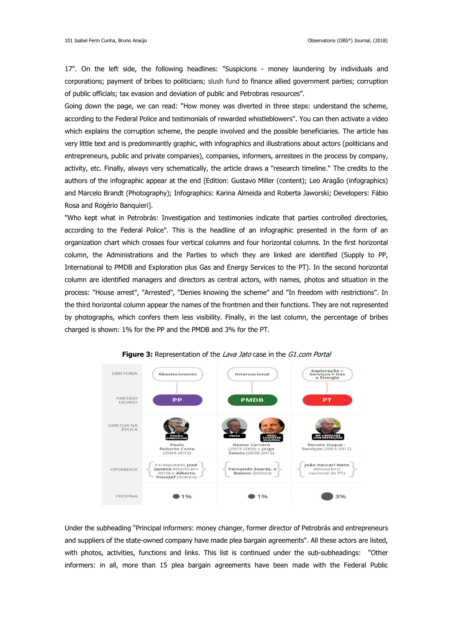17". On the left side, the following headlines: "Suspicions - money laundering by individuals and corporations; payment of bribes to politicians; slush fund to finance allied government parties; corruption of public officials; tax evasion and deviation of public and Petrobras resources".

Going down the page, we can read: "How money was diverted in three steps: understand the scheme, according to the Federal Police and testimonials of rewarded whistleblowers". You can then activate a video which explains the corruption scheme, the people involved and the possible beneficiaries. The article has very little text and is predominantly graphic, with infographics and illustrations about actors (politicians and entrepreneurs, public and private companies), companies, informers, arrestees in the process by company, activity, etc. Finally, always very schematically, the article draws a "research timeline." The credits to the authors of the infographic appear at the end [Edition: Gustavo Miller (content); Leo Aragão (infographics) and Marcelo Brandt (Photography); Infographics: Karina Almeida and Roberta Jaworski; Developers: Fábio Rosa and Rogério Banquieri].

"Who kept what in Petrobrás: Investigation and testimonies indicate that parties controlled directories, according to the Federal Police". This is the headline of an infographic presented in the form of an organization chart which crosses four vertical columns and four horizontal columns. In the first horizontal column, the Administrations and the Parties to which they are linked are identified (Supply to PP, International to PMDB and Exploration plus Gas and Energy Services to the PT). In the second horizontal column are identified managers and directors as central actors, with names, photos and situation in the process: "House arrest", "Arrested", "Denies knowing the scheme" and "In freedom with restrictions". In the third horizontal column appear the names of the frontmen and their functions. They are not represented by photographs, which confers them less visibility. Finally, in the last column, the percentage of bribes charged is shown: 1% for the PP and the PMDB and 3% for the PT.



**Figure 3:** Representation of the Lava Jato case in the G1.com Portal

Under the subheading "Principal informers: money changer, former director of Petrobrás and entrepreneurs and suppliers of the state-owned company have made plea bargain agreements". All these actors are listed, with photos, activities, functions and links. This list is continued under the sub-subheadings: "Other informers: in all, more than 15 plea bargain agreements have been made with the Federal Public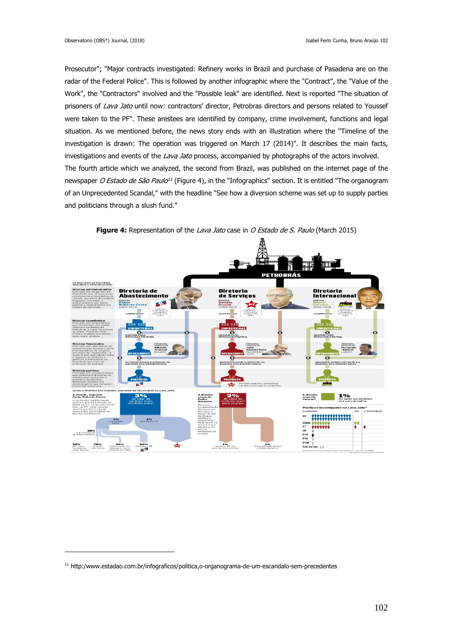Prosecutor"; "Major contracts investigated: Refinery works in Brazil and purchase of Pasadena are on the radar of the Federal Police". This is followed by another infographic where the "Contract", the "Value of the Work", the "Contractors" involved and the "Possible leak" are identified. Next is reported "The situation of prisoners of Lava Jato until now: contractors' director, Petrobras directors and persons related to Youssef were taken to the PF". These arestees are identified by company, crime involvement, functions and legal situation. As we mentioned before, the news story ends with an illustration where the "Timeline of the investigation is drawn: The operation was triggered on March 17 (2014)". It describes the main facts, investigations and events of the Lava Jato process, accompanied by photographs of the actors involved. The fourth article which we analyzed, the second from Brazil, was published on the internet page of the newspaper *O Estado de São Paulo<sup>11</sup>* (Figure 4), in the "Infographics" section. It is entitled "The organogram of an Unprecedented Scandal," with the headline "See how a diversion scheme was set up to supply parties and politicians through a slush fund."



**Figure 4:** Representation of the Lava Jato case in O Estado de S. Paulo (March 2015)

<u>.</u>

<sup>11</sup> http:/www.estadao.com.br/infograficos/politica,o-organograma-de-um-escandalo-sem-precedentes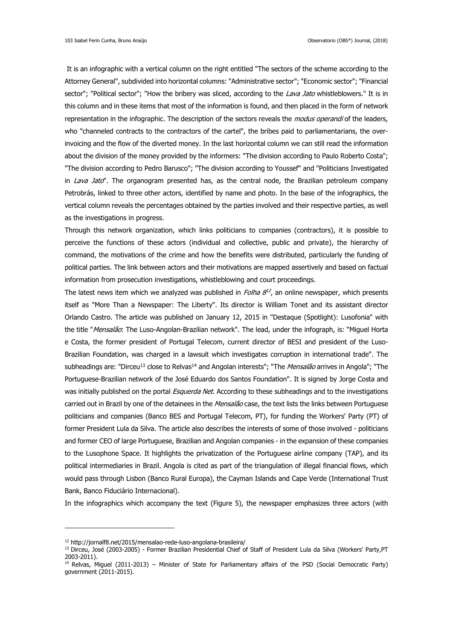It is an infographic with a vertical column on the right entitled "The sectors of the scheme according to the Attorney General", subdivided into horizontal columns: "Administrative sector"; "Economic sector"; "Financial sector"; "Political sector"; "How the bribery was sliced, according to the Lava Jato whistleblowers." It is in this column and in these items that most of the information is found, and then placed in the form of network representation in the infographic. The description of the sectors reveals the *modus operandi* of the leaders, who "channeled contracts to the contractors of the cartel", the bribes paid to parliamentarians, the overinvoicing and the flow of the diverted money. In the last horizontal column we can still read the information about the division of the money provided by the informers: "The division according to Paulo Roberto Costa"; "The division according to Pedro Barusco"; "The division according to Youssef" and "Politicians Investigated in Lava Jato". The organogram presented has, as the central node, the Brazilian petroleum company Petrobrás, linked to three other actors, identified by name and photo. In the base of the infographics, the vertical column reveals the percentages obtained by the parties involved and their respective parties, as well as the investigations in progress.

Through this network organization, which links politicians to companies (contractors), it is possible to perceive the functions of these actors (individual and collective, public and private), the hierarchy of command, the motivations of the crime and how the benefits were distributed, particularly the funding of political parties. The link between actors and their motivations are mapped assertively and based on factual information from prosecution investigations, whistleblowing and court proceedings.

The latest news item which we analyzed was published in *Folha 8<sup>12</sup>*, an online newspaper, which presents itself as "More Than a Newspaper: The Liberty". Its director is William Tonet and its assistant director Orlando Castro. The article was published on January 12, 2015 in "Destaque (Spotlight): Lusofonia" with the title "Mensalão: The Luso-Angolan-Brazilian network". The lead, under the infograph, is: "Miguel Horta e Costa, the former president of Portugal Telecom, current director of BESI and president of the Luso-Brazilian Foundation, was charged in a lawsuit which investigates corruption in international trade". The subheadings are: "Dirceu<sup>13</sup> close to Relvas<sup>14</sup> and Angolan interests"; "The *Mensalão* arrives in Angola"; "The Portuguese-Brazilian network of the José Eduardo dos Santos Foundation". It is signed by Jorge Costa and was initially published on the portal *Esquerda Net*. According to these subheadings and to the investigations carried out in Brazil by one of the detainees in the Mensalão case, the text lists the links between Portuguese politicians and companies (Banco BES and Portugal Telecom, PT), for funding the Workers' Party (PT) of former President Lula da Silva. The article also describes the interests of some of those involved - politicians and former CEO of large Portuguese, Brazilian and Angolan companies - in the expansion of these companies to the Lusophone Space. It highlights the privatization of the Portuguese airline company (TAP), and its political intermediaries in Brazil. Angola is cited as part of the triangulation of illegal financial flows, which would pass through Lisbon (Banco Rural Europa), the Cayman Islands and Cape Verde (International Trust Bank, Banco Fiduciário Internacional).

In the infographics which accompany the text (Figure 5), the newspaper emphasizes three actors (with

1

<sup>12</sup> http://jornalf8.net/2015/mensalao-rede-luso-angolana-brasileira/

<sup>13</sup> Dirceu, José (2003-2005) - Former Brazilian Presidential Chief of Staff of President Lula da Silva (Workers' Party,PT 2003-2011).

<sup>&</sup>lt;sup>14</sup> Relvas, Miguel (2011-2013) – Minister of State for Parliamentary affairs of the PSD (Social Democratic Party) government (2011-2015).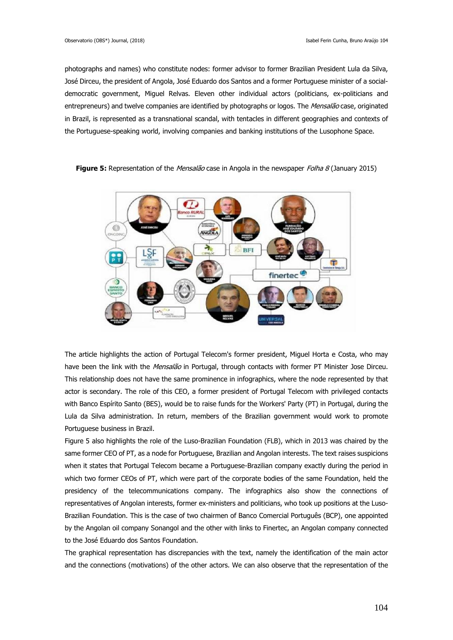photographs and names) who constitute nodes: former advisor to former Brazilian President Lula da Silva, José Dirceu, the president of Angola, José Eduardo dos Santos and a former Portuguese minister of a socialdemocratic government, Miguel Relvas. Eleven other individual actors (politicians, ex-politicians and entrepreneurs) and twelve companies are identified by photographs or logos. The Mensalão case, originated in Brazil, is represented as a transnational scandal, with tentacles in different geographies and contexts of the Portuguese-speaking world, involving companies and banking institutions of the Lusophone Space.



**Figure 5:** Representation of the *Mensalão* case in Angola in the newspaper *Folha 8* (January 2015)

The article highlights the action of Portugal Telecom's former president, Miguel Horta e Costa, who may have been the link with the Mensalão in Portugal, through contacts with former PT Minister Jose Dirceu. This relationship does not have the same prominence in infographics, where the node represented by that actor is secondary. The role of this CEO, a former president of Portugal Telecom with privileged contacts with Banco Espírito Santo (BES), would be to raise funds for the Workers' Party (PT) in Portugal, during the Lula da Silva administration. In return, members of the Brazilian government would work to promote Portuguese business in Brazil.

Figure 5 also highlights the role of the Luso-Brazilian Foundation (FLB), which in 2013 was chaired by the same former CEO of PT, as a node for Portuguese, Brazilian and Angolan interests. The text raises suspicions when it states that Portugal Telecom became a Portuguese-Brazilian company exactly during the period in which two former CEOs of PT, which were part of the corporate bodies of the same Foundation, held the presidency of the telecommunications company. The infographics also show the connections of representatives of Angolan interests, former ex-ministers and politicians, who took up positions at the Luso-Brazilian Foundation. This is the case of two chairmen of Banco Comercial Português (BCP), one appointed by the Angolan oil company Sonangol and the other with links to Finertec, an Angolan company connected to the José Eduardo dos Santos Foundation.

The graphical representation has discrepancies with the text, namely the identification of the main actor and the connections (motivations) of the other actors. We can also observe that the representation of the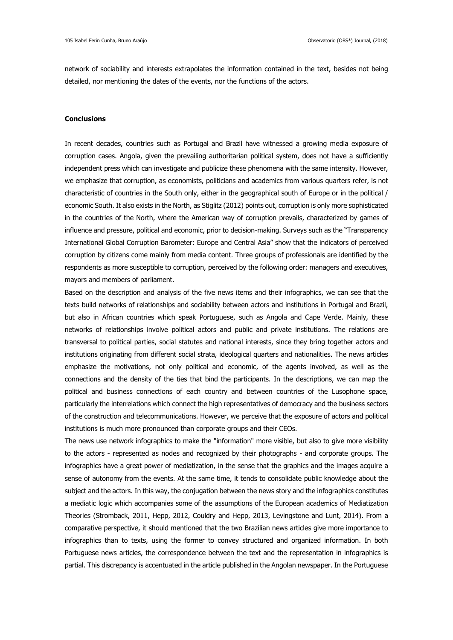network of sociability and interests extrapolates the information contained in the text, besides not being detailed, nor mentioning the dates of the events, nor the functions of the actors.

## **Conclusions**

In recent decades, countries such as Portugal and Brazil have witnessed a growing media exposure of corruption cases. Angola, given the prevailing authoritarian political system, does not have a sufficiently independent press which can investigate and publicize these phenomena with the same intensity. However, we emphasize that corruption, as economists, politicians and academics from various quarters refer, is not characteristic of countries in the South only, either in the geographical south of Europe or in the political / economic South. It also exists in the North, as Stiglitz (2012) points out, corruption is only more sophisticated in the countries of the North, where the American way of corruption prevails, characterized by games of influence and pressure, political and economic, prior to decision-making. Surveys such as the "Transparency International Global Corruption Barometer: Europe and Central Asia" show that the indicators of perceived corruption by citizens come mainly from media content. Three groups of professionals are identified by the respondents as more susceptible to corruption, perceived by the following order: managers and executives, mayors and members of parliament.

Based on the description and analysis of the five news items and their infographics, we can see that the texts build networks of relationships and sociability between actors and institutions in Portugal and Brazil, but also in African countries which speak Portuguese, such as Angola and Cape Verde. Mainly, these networks of relationships involve political actors and public and private institutions. The relations are transversal to political parties, social statutes and national interests, since they bring together actors and institutions originating from different social strata, ideological quarters and nationalities. The news articles emphasize the motivations, not only political and economic, of the agents involved, as well as the connections and the density of the ties that bind the participants. In the descriptions, we can map the political and business connections of each country and between countries of the Lusophone space, particularly the interrelations which connect the high representatives of democracy and the business sectors of the construction and telecommunications. However, we perceive that the exposure of actors and political institutions is much more pronounced than corporate groups and their CEOs.

The news use network infographics to make the "information" more visible, but also to give more visibility to the actors - represented as nodes and recognized by their photographs - and corporate groups. The infographics have a great power of mediatization, in the sense that the graphics and the images acquire a sense of autonomy from the events. At the same time, it tends to consolidate public knowledge about the subject and the actors. In this way, the conjugation between the news story and the infographics constitutes a mediatic logic which accompanies some of the assumptions of the European academics of Mediatization Theories (Stromback, 2011, Hepp, 2012, Couldry and Hepp, 2013, Levingstone and Lunt, 2014). From a comparative perspective, it should mentioned that the two Brazilian news articles give more importance to infographics than to texts, using the former to convey structured and organized information. In both Portuguese news articles, the correspondence between the text and the representation in infographics is partial. This discrepancy is accentuated in the article published in the Angolan newspaper. In the Portuguese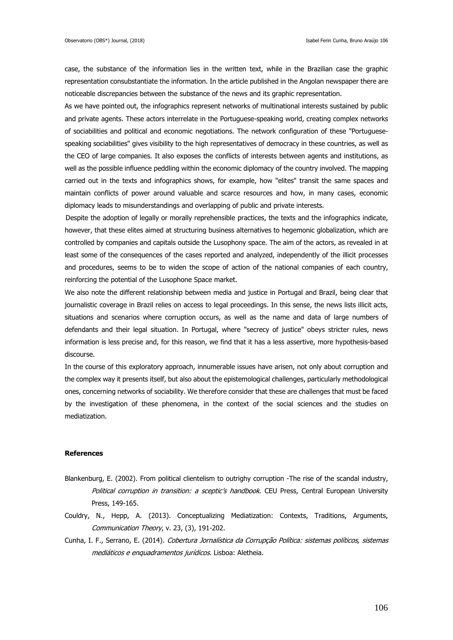case, the substance of the information lies in the written text, while in the Brazilian case the graphic representation consubstantiate the information. In the article published in the Angolan newspaper there are noticeable discrepancies between the substance of the news and its graphic representation.

As we have pointed out, the infographics represent networks of multinational interests sustained by public and private agents. These actors interrelate in the Portuguese-speaking world, creating complex networks of sociabilities and political and economic negotiations. The network configuration of these "Portuguesespeaking sociabilities" gives visibility to the high representatives of democracy in these countries, as well as the CEO of large companies. It also exposes the conflicts of interests between agents and institutions, as well as the possible influence peddling within the economic diplomacy of the country involved. The mapping carried out in the texts and infographics shows, for example, how "elites" transit the same spaces and maintain conflicts of power around valuable and scarce resources and how, in many cases, economic diplomacy leads to misunderstandings and overlapping of public and private interests.

 Despite the adoption of legally or morally reprehensible practices, the texts and the infographics indicate, however, that these elites aimed at structuring business alternatives to hegemonic globalization, which are controlled by companies and capitals outside the Lusophony space. The aim of the actors, as revealed in at least some of the consequences of the cases reported and analyzed, independently of the illicit processes and procedures, seems to be to widen the scope of action of the national companies of each country, reinforcing the potential of the Lusophone Space market.

We also note the different relationship between media and justice in Portugal and Brazil, being clear that journalistic coverage in Brazil relies on access to legal proceedings. In this sense, the news lists illicit acts, situations and scenarios where corruption occurs, as well as the name and data of large numbers of defendants and their legal situation. In Portugal, where "secrecy of justice" obeys stricter rules, news information is less precise and, for this reason, we find that it has a less assertive, more hypothesis-based discourse.

In the course of this exploratory approach, innumerable issues have arisen, not only about corruption and the complex way it presents itself, but also about the epistemological challenges, particularly methodological ones, concerning networks of sociability. We therefore consider that these are challenges that must be faced by the investigation of these phenomena, in the context of the social sciences and the studies on mediatization.

## **References**

- Blankenburg, E. (2002). From political clientelism to outrighy corruption -The rise of the scandal industry, Political corruption in transition: a sceptic's handbook. CEU Press, Central European University Press, 149-165.
- Couldry, N., Hepp, A. (2013). Conceptualizing Mediatization: Contexts, Traditions, Arguments, Communication Theory, v. 23, (3), 191-202.
- Cunha, I. F., Serrano, E. (2014). Cobertura Jornalística da Corrupção Política: sistemas políticos, sistemas mediáticos <sup>e</sup> enquadramentos jurídicos. Lisboa: Aletheia.